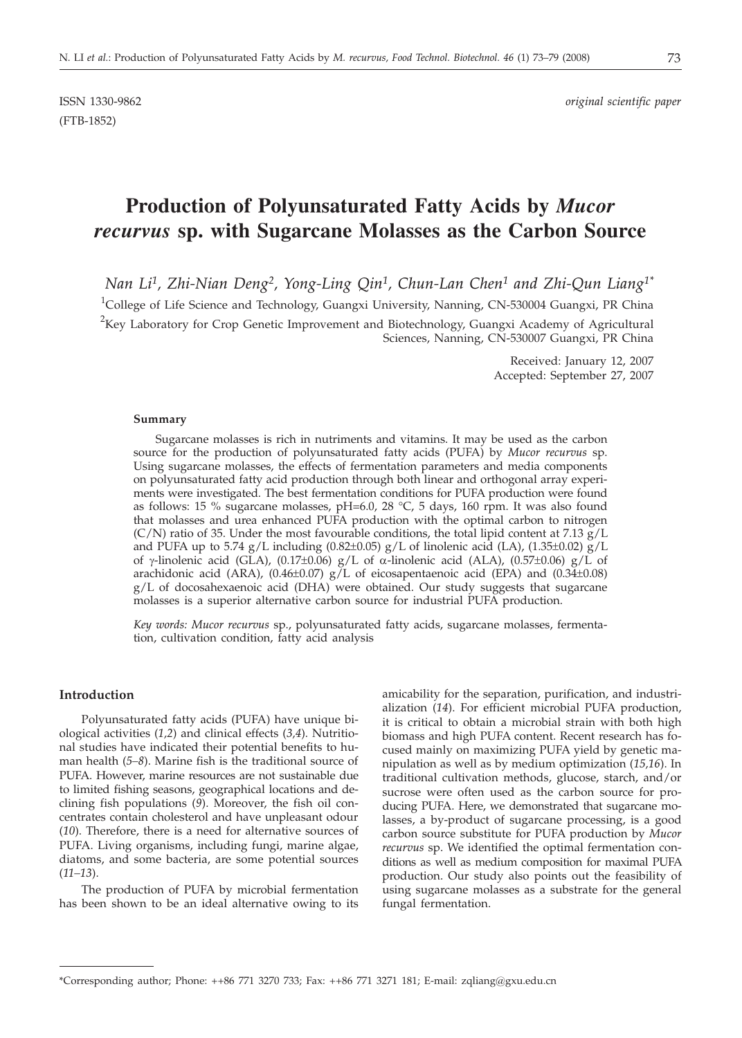# **Production of Polyunsaturated Fatty Acids by** *Mucor recurvus* **sp. with Sugarcane Molasses as the Carbon Source**

*Nan Li1, Zhi-Nian Deng2, Yong-Ling Qin1, Chun-Lan Chen1 and Zhi-Qun Liang1\**

<sup>1</sup>College of Life Science and Technology, Guangxi University, Nanning, CN-530004 Guangxi, PR China

 $2$ Key Laboratory for Crop Genetic Improvement and Biotechnology, Guangxi Academy of Agricultural Sciences, Nanning, CN-530007 Guangxi, PR China

> Received: January 12, 2007 Accepted: September 27, 2007

#### **Summary**

Sugarcane molasses is rich in nutriments and vitamins. It may be used as the carbon source for the production of polyunsaturated fatty acids (PUFA) by *Mucor recurvus* sp. Using sugarcane molasses, the effects of fermentation parameters and media components on polyunsaturated fatty acid production through both linear and orthogonal array experiments were investigated. The best fermentation conditions for PUFA production were found as follows: 15 % sugarcane molasses, pH=6.0, 28 °C, 5 days, 160 rpm. It was also found that molasses and urea enhanced PUFA production with the optimal carbon to nitrogen (C/N) ratio of 35. Under the most favourable conditions, the total lipid content at 7.13  $g/L$ and PUFA up to 5.74 g/L including (0.82±0.05) g/L of linolenic acid (LA), (1.35±0.02) g/L of g-linolenic acid (GLA), (0.17±0.06) g/L of a-linolenic acid (ALA), (0.57±0.06) g/L of arachidonic acid (ARA), (0.46±0.07) g/L of eicosapentaenoic acid (EPA) and (0.34±0.08)  $g/L$  of docosahexaenoic acid (DHA) were obtained. Our study suggests that sugarcane molasses is a superior alternative carbon source for industrial PUFA production.

*Key words: Mucor recurvus* sp., polyunsaturated fatty acids, sugarcane molasses, fermentation, cultivation condition, fatty acid analysis

#### **Introduction**

Polyunsaturated fatty acids (PUFA) have unique biological activities (*1,2*) and clinical effects (*3,4*). Nutritional studies have indicated their potential benefits to human health (*5–8*). Marine fish is the traditional source of PUFA. However, marine resources are not sustainable due to limited fishing seasons, geographical locations and declining fish populations (*9*). Moreover, the fish oil concentrates contain cholesterol and have unpleasant odour (*10*). Therefore, there is a need for alternative sources of PUFA. Living organisms, including fungi, marine algae, diatoms, and some bacteria, are some potential sources (*11–13*).

The production of PUFA by microbial fermentation has been shown to be an ideal alternative owing to its amicability for the separation, purification, and industrialization (*14*). For efficient microbial PUFA production, it is critical to obtain a microbial strain with both high biomass and high PUFA content. Recent research has focused mainly on maximizing PUFA yield by genetic manipulation as well as by medium optimization (*15,16*). In traditional cultivation methods, glucose, starch, and/or sucrose were often used as the carbon source for producing PUFA. Here, we demonstrated that sugarcane molasses, a by-product of sugarcane processing, is a good carbon source substitute for PUFA production by *Mucor recurvus* sp. We identified the optimal fermentation conditions as well as medium composition for maximal PUFA production. Our study also points out the feasibility of using sugarcane molasses as a substrate for the general fungal fermentation.

<sup>\*</sup>Corresponding author; Phone: ++86 771 3270 733; Fax: ++86 771 3271 181; E-mail: zqliang*@*gxu.edu.cn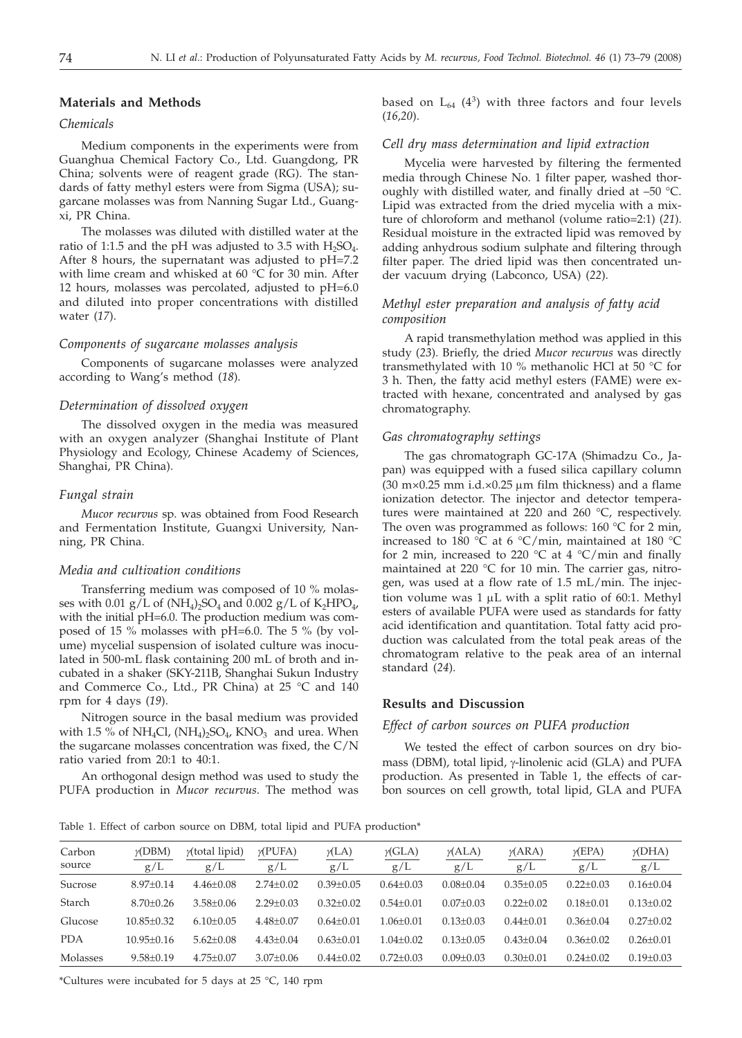## **Materials and Methods**

# *Chemicals*

Medium components in the experiments were from Guanghua Chemical Factory Co., Ltd. Guangdong, PR China; solvents were of reagent grade (RG). The standards of fatty methyl esters were from Sigma (USA); sugarcane molasses was from Nanning Sugar Ltd., Guangxi, PR China.

The molasses was diluted with distilled water at the ratio of 1:1.5 and the pH was adjusted to 3.5 with  $H_2SO_4$ . After 8 hours, the supernatant was adjusted to pH=7.2 with lime cream and whisked at 60 °C for 30 min. After 12 hours, molasses was percolated, adjusted to pH=6.0 and diluted into proper concentrations with distilled water (*17*).

#### *Components of sugarcane molasses analysis*

Components of sugarcane molasses were analyzed according to Wang's method (*18*).

#### *Determination of dissolved oxygen*

The dissolved oxygen in the media was measured with an oxygen analyzer (Shanghai Institute of Plant Physiology and Ecology, Chinese Academy of Sciences, Shanghai, PR China).

#### *Fungal strain*

*Mucor recurvus* sp. was obtained from Food Research and Fermentation Institute, Guangxi University, Nanning, PR China.

#### *Media and cultivation conditions*

Transferring medium was composed of 10 % molasses with 0.01 g/L of  $(NH_4)_2SO_4$  and 0.002 g/L of  $K_2HPO_4$ , with the initial pH=6.0. The production medium was composed of 15 % molasses with pH=6.0. The 5 % (by volume) mycelial suspension of isolated culture was inoculated in 500-mL flask containing 200 mL of broth and incubated in a shaker (SKY-211B, Shanghai Sukun Industry and Commerce Co., Ltd., PR China) at 25 °C and 140 rpm for 4 days (*19*).

Nitrogen source in the basal medium was provided with 1.5 % of NH<sub>4</sub>Cl,  $(NH_4)_2SO_4$ , KNO<sub>3</sub> and urea. When the sugarcane molasses concentration was fixed, the C/N ratio varied from 20:1 to 40:1.

An orthogonal design method was used to study the PUFA production in *Mucor recurvus*. The method was

based on  $L_{64}$  (4<sup>3</sup>) with three factors and four levels (*16,20*).

## *Cell dry mass determination and lipid extraction*

Mycelia were harvested by filtering the fermented media through Chinese No. 1 filter paper, washed thoroughly with distilled water, and finally dried at –50 °C. Lipid was extracted from the dried mycelia with a mixture of chloroform and methanol (volume ratio=2:1) (*21*). Residual moisture in the extracted lipid was removed by adding anhydrous sodium sulphate and filtering through filter paper. The dried lipid was then concentrated under vacuum drying (Labconco, USA) (*22*).

## *Methyl ester preparation and analysis of fatty acid composition*

A rapid transmethylation method was applied in this study (*23*). Briefly, the dried *Mucor recurvus* was directly transmethylated with 10 % methanolic HCl at 50 °C for 3 h. Then, the fatty acid methyl esters (FAME) were extracted with hexane, concentrated and analysed by gas chromatography.

## *Gas chromatography settings*

The gas chromatograph GC-17A (Shimadzu Co., Japan) was equipped with a fused silica capillary column (30 m×0.25 mm i.d.×0.25  $\mu$ m film thickness) and a flame ionization detector. The injector and detector temperatures were maintained at 220 and 260 °C, respectively. The oven was programmed as follows:  $160^{\circ}$ C for 2 min, increased to 180 °C at 6 °C/min, maintained at 180 °C for 2 min, increased to 220 °C at 4 °C/min and finally maintained at 220 °C for 10 min. The carrier gas, nitrogen, was used at a flow rate of 1.5 mL/min. The injection volume was  $1 \mu L$  with a split ratio of 60:1. Methyl esters of available PUFA were used as standards for fatty acid identification and quantitation. Total fatty acid production was calculated from the total peak areas of the chromatogram relative to the peak area of an internal standard (*24*).

## **Results and Discussion**

#### *Effect of carbon sources on PUFA production*

We tested the effect of carbon sources on dry biomass (DBM), total lipid,  $\gamma$ -linolenic acid (GLA) and PUFA production. As presented in Table 1, the effects of carbon sources on cell growth, total lipid, GLA and PUFA

Table 1. Effect of carbon source on DBM, total lipid and PUFA production\*

| Carbon     | $\gamma$ (DBM)   | $y$ (total lipid) | $\gamma$ (PUFA) | $\gamma$ (LA)   | $\gamma$ (GLA)  | $\gamma$ (ALA)  | $\gamma$ (ARA)  | $\gamma$ (EPA)  | $\gamma$ (DHA)  |
|------------|------------------|-------------------|-----------------|-----------------|-----------------|-----------------|-----------------|-----------------|-----------------|
| source     | g/L              | g/L               | g/L             | g/L             | g/L             | g/L             | g/L             | g/L             | g/L             |
| Sucrose    | $8.97+0.14$      | $4.46 \pm 0.08$   | $2.74 + 0.02$   | $0.39 + 0.05$   | $0.64 + 0.03$   | $0.08 + 0.04$   | $0.35 + 0.05$   | $0.22 + 0.03$   | $0.16 \pm 0.04$ |
| Starch     | $8.70 + 0.26$    | $3.58 + 0.06$     | $2.29 + 0.03$   | $0.32 + 0.02$   | $0.54 + 0.01$   | $0.07 + 0.03$   | $0.22 + 0.02$   | $0.18 + 0.01$   | $0.13 + 0.02$   |
| Glucose    | $10.85 + 0.32$   | $6.10+0.05$       | $4.48 + 0.07$   | $0.64 + 0.01$   | $1.06 + 0.01$   | $0.13 + 0.03$   | $0.44 + 0.01$   | $0.36 + 0.04$   | $0.27+0.02$     |
| <b>PDA</b> | $10.95 \pm 0.16$ | $5.62 \pm 0.08$   | $4.43 \pm 0.04$ | $0.63 + 0.01$   | $1.04 \pm 0.02$ | $0.13 + 0.05$   | $0.43 + 0.04$   | $0.36 \pm 0.02$ | $0.26 \pm 0.01$ |
| Molasses   | $9.58 + 0.19$    | $4.75 + 0.07$     | $3.07 \pm 0.06$ | $0.44 \pm 0.02$ | $0.72 \pm 0.03$ | $0.09 \pm 0.03$ | $0.30 \pm 0.01$ | $0.24 \pm 0.02$ | $0.19 \pm 0.03$ |

\*Cultures were incubated for 5 days at 25 °C, 140 rpm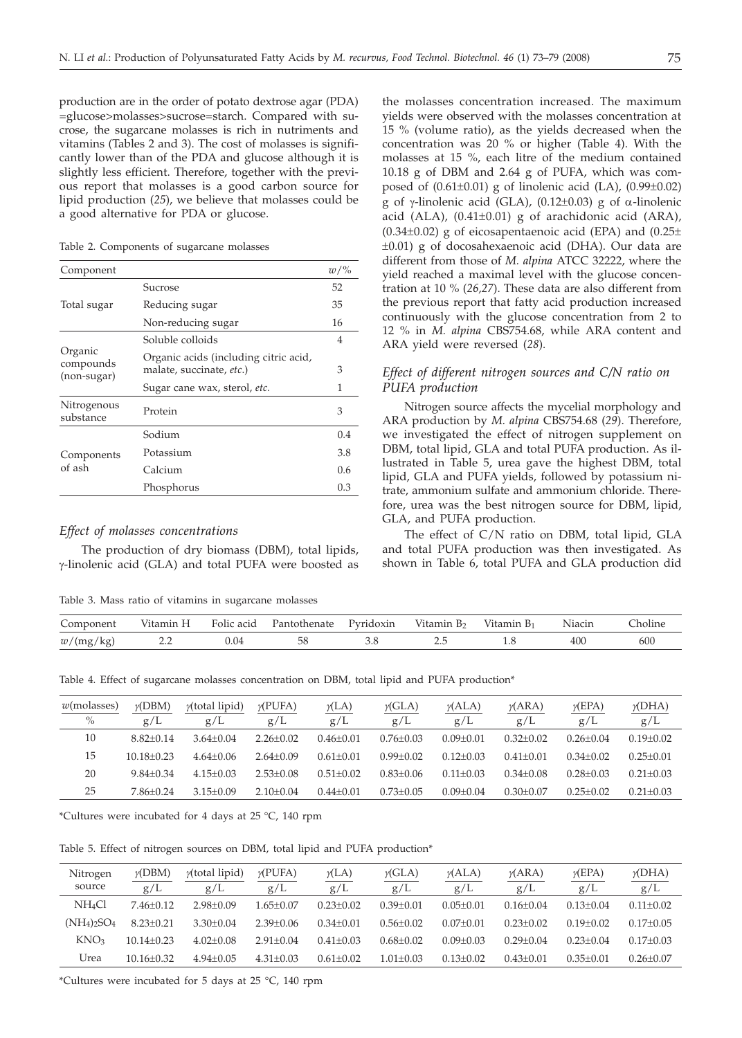production are in the order of potato dextrose agar (PDA) =glucose>molasses>sucrose=starch. Compared with sucrose, the sugarcane molasses is rich in nutriments and vitamins (Tables 2 and 3). The cost of molasses is significantly lower than of the PDA and glucose although it is slightly less efficient. Therefore, together with the previous report that molasses is a good carbon source for lipid production (*25*), we believe that molasses could be a good alternative for PDA or glucose.

Table 2. Components of sugarcane molasses

| Component                           |                                                                                                   | $w/\%$         |
|-------------------------------------|---------------------------------------------------------------------------------------------------|----------------|
|                                     | Sucrose                                                                                           | 52             |
| Total sugar                         | Reducing sugar                                                                                    | 35             |
|                                     | Non-reducing sugar                                                                                | 16             |
|                                     | Soluble colloids                                                                                  | $\overline{4}$ |
| Organic<br>compounds<br>(non-sugar) | Organic acids (including citric acid,<br>malate, succinate, etc.)<br>Sugar cane wax, sterol, etc. | 3<br>1         |
| Nitrogenous<br>substance            | Protein                                                                                           | 3              |
|                                     | Sodium                                                                                            | 0.4            |
| Components                          | Potassium                                                                                         | 3.8            |
| of ash                              | Calcium                                                                                           | 0.6            |
|                                     | Phosphorus                                                                                        | 0.3            |

## *Effect of molasses concentrations*

The production of dry biomass (DBM), total lipids, g-linolenic acid (GLA) and total PUFA were boosted as

Table 3. Mass ratio of vitamins in sugarcane molasses

the molasses concentration increased. The maximum yields were observed with the molasses concentration at 15 % (volume ratio), as the yields decreased when the concentration was 20 % or higher (Table 4). With the molasses at 15 %, each litre of the medium contained 10.18 g of DBM and 2.64 g of PUFA, which was composed of (0.61±0.01) g of linolenic acid (LA), (0.99±0.02) g of  $\gamma$ -linolenic acid (GLA), (0.12±0.03) g of  $\alpha$ -linolenic acid (ALA),  $(0.41\pm0.01)$  g of arachidonic acid (ARA),  $(0.34\pm0.02)$  g of eicosapentaenoic acid (EPA) and  $(0.25\pm$ ±0.01) g of docosahexaenoic acid (DHA). Our data are different from those of *M. alpina* ATCC 32222, where the yield reached a maximal level with the glucose concentration at 10 % (*26,27*). These data are also different from the previous report that fatty acid production increased continuously with the glucose concentration from 2 to 12 % in *M. alpina* CBS754.68, while ARA content and ARA yield were reversed (*28*).

# *Effect of different nitrogen sources and C/N ratio on PUFA production*

Nitrogen source affects the mycelial morphology and ARA production by *M. alpina* CBS754.68 (*29*). Therefore, we investigated the effect of nitrogen supplement on DBM, total lipid, GLA and total PUFA production. As illustrated in Table 5, urea gave the highest DBM, total lipid, GLA and PUFA yields, followed by potassium nitrate, ammonium sulfate and ammonium chloride. Therefore, urea was the best nitrogen source for DBM, lipid, GLA, and PUFA production.

The effect of C/N ratio on DBM, total lipid, GLA and total PUFA production was then investigated. As shown in Table 6, total PUFA and GLA production did

| Component | Vitamin H | Folic acid | Pantothenate | Pyridoxin | Vitamin B <sub>2</sub> | Vitamin B <sub>1</sub> | Niacin | :holine |
|-----------|-----------|------------|--------------|-----------|------------------------|------------------------|--------|---------|
| w/(mg/kg) | _____     |            |              |           |                        |                        |        | 600     |

Table 4. Effect of sugarcane molasses concentration on DBM, total lipid and PUFA production\*

| $w$ (molasses) | $\gamma$ (DBM) | $y$ (total lipid) | $\gamma$ (PUFA) | $\gamma$ (LA) | $\gamma$ (GLA)  | $\gamma$ (ALA) | $\gamma(ARA)$   | $\gamma$ (EPA) | $\gamma$ (DHA)  |
|----------------|----------------|-------------------|-----------------|---------------|-----------------|----------------|-----------------|----------------|-----------------|
| $\%$           | g/L            | g/L               | g/L             | g/L           | g/L             | g/L            | g/L             | g/L            | g/L             |
| 10             | $8.82 + 0.14$  | $3.64 + 0.04$     | $2.26 \pm 0.02$ | $0.46 + 0.01$ | $0.76 + 0.03$   | $0.09 + 0.01$  | $0.32 + 0.02$   | $0.26 + 0.04$  | $0.19 + 0.02$   |
| 15             | $10.18 + 0.23$ | $4.64+0.06$       | $2.64 + 0.09$   | $0.61 + 0.01$ | $0.99 + 0.02$   | $0.12 + 0.03$  | $0.41 + 0.01$   | $0.34 + 0.02$  | $0.25 + 0.01$   |
| 20             | $9.84 + 0.34$  | $4.15 \pm 0.03$   | $2.53 \pm 0.08$ | $0.51 + 0.02$ | $0.83 + 0.06$   | $0.11 + 0.03$  | $0.34 + 0.08$   | $0.28 + 0.03$  | $0.21 + 0.03$   |
| 25             | $7.86 + 0.24$  | $3.15 \pm 0.09$   | $2.10\pm0.04$   | $0.44 + 0.01$ | $0.73 \pm 0.05$ | $0.09 + 0.04$  | $0.30 \pm 0.07$ | $0.25 + 0.02$  | $0.21 \pm 0.03$ |
|                |                |                   |                 |               |                 |                |                 |                |                 |

\*Cultures were incubated for 4 days at 25 °C, 140 rpm

Table 5. Effect of nitrogen sources on DBM, total lipid and PUFA production\*

| Nitrogen<br>source | $\gamma$ (DBM)<br>g/L | $y$ (total lipid)<br>g/L | $\gamma$ (PUFA)<br>g/L | $\gamma$ (LA)<br>g/L | $\gamma$ (GLA)<br>g/L | $\gamma(ALA)$<br>g/L | $\gamma$ (ARA)<br>g/L | $\gamma$ (EPA)<br>g/L | $\gamma$ (DHA)<br>g/L |
|--------------------|-----------------------|--------------------------|------------------------|----------------------|-----------------------|----------------------|-----------------------|-----------------------|-----------------------|
| NH <sub>4</sub> Cl | $7.46 + 0.12$         | $2.98 + 0.09$            | $1.65 + 0.07$          | $0.23 + 0.02$        | $0.39 + 0.01$         | $0.05 + 0.01$        | $0.16 + 0.04$         | $0.13 + 0.04$         | $0.11 + 0.02$         |
| $(NH_4)_2SO_4$     | $8.23 + 0.21$         | $3.30+0.04$              | $2.39 + 0.06$          | $0.34 + 0.01$        | $0.56 + 0.02$         | $0.07 + 0.01$        | $0.23 + 0.02$         | $0.19 + 0.02$         | $0.17+0.05$           |
| KNO <sub>3</sub>   | $10.14 + 0.23$        | $4.02+0.08$              | $2.91 + 0.04$          | $0.41 + 0.03$        | $0.68 + 0.02$         | $0.09 + 0.03$        | $0.29 + 0.04$         | $0.23 + 0.04$         | $0.17+0.03$           |
| Urea               | $10.16 + 0.32$        | $4.94 + 0.05$            | $4.31 \pm 0.03$        | $0.61 + 0.02$        | $1.01 + 0.03$         | $0.13 + 0.02$        | $0.43 + 0.01$         | $0.35 + 0.01$         | $0.26 \pm 0.07$       |
|                    |                       |                          |                        |                      |                       |                      |                       |                       |                       |

\*Cultures were incubated for 5 days at 25 °C, 140 rpm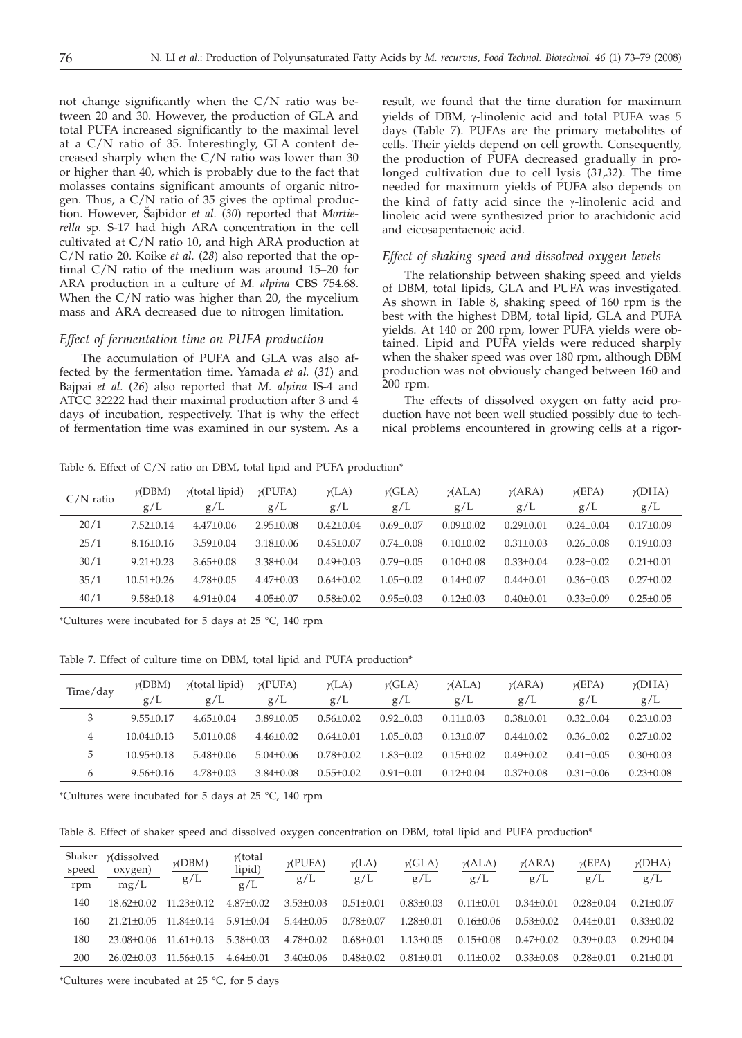not change significantly when the C/N ratio was between 20 and 30. However, the production of GLA and total PUFA increased significantly to the maximal level at a C/N ratio of 35. Interestingly, GLA content decreased sharply when the C/N ratio was lower than 30 or higher than 40, which is probably due to the fact that molasses contains significant amounts of organic nitrogen. Thus, a C/N ratio of 35 gives the optimal production. However, Šajbidor *et al.* (30) reported that *Mortierella* sp*.* S-17 had high ARA concentration in the cell cultivated at C/N ratio 10, and high ARA production at C/N ratio 20. Koike *et al.* (*28*) also reported that the optimal C/N ratio of the medium was around 15–20 for ARA production in a culture of *M. alpina* CBS 754.68. When the C/N ratio was higher than 20, the mycelium mass and ARA decreased due to nitrogen limitation.

## *Effect of fermentation time on PUFA production*

The accumulation of PUFA and GLA was also affected by the fermentation time. Yamada *et al.* (*31*) and Bajpai *et al.* (*26*) also reported that *M. alpina* IS-4 and ATCC 32222 had their maximal production after 3 and 4 days of incubation, respectively. That is why the effect of fermentation time was examined in our system. As a

result, we found that the time duration for maximum yields of DBM, g-linolenic acid and total PUFA was 5 days (Table 7). PUFAs are the primary metabolites of cells. Their yields depend on cell growth. Consequently, the production of PUFA decreased gradually in prolonged cultivation due to cell lysis (*31,32*). The time needed for maximum yields of PUFA also depends on the kind of fatty acid since the  $\gamma$ -linolenic acid and linoleic acid were synthesized prior to arachidonic acid and eicosapentaenoic acid.

# *Effect of shaking speed and dissolved oxygen levels*

The relationship between shaking speed and yields of DBM, total lipids, GLA and PUFA was investigated. As shown in Table 8, shaking speed of 160 rpm is the best with the highest DBM, total lipid, GLA and PUFA yields. At 140 or 200 rpm, lower PUFA yields were obtained. Lipid and PUFA yields were reduced sharply when the shaker speed was over 180 rpm, although DBM production was not obviously changed between 160 and 200 rpm.

The effects of dissolved oxygen on fatty acid production have not been well studied possibly due to technical problems encountered in growing cells at a rigor-

Table 6. Effect of C/N ratio on DBM, total lipid and PUFA production\*

| $C/N$ ratio | $\gamma$ (DBM)<br>g/L | $y$ (total lipid)<br>g/L | $\gamma$ (PUFA)<br>g/L | $\gamma$ (LA)<br>g/L | $\gamma$ (GLA)<br>g/L | $\gamma$ (ALA)<br>g/L | $\gamma$ (ARA)<br>g/L | $\gamma$ (EPA)<br>g/L | $\gamma$ (DHA)<br>g/L |
|-------------|-----------------------|--------------------------|------------------------|----------------------|-----------------------|-----------------------|-----------------------|-----------------------|-----------------------|
| 20/1        | $7.52+0.14$           | $4.47 \pm 0.06$          | $2.95 \pm 0.08$        | $0.42 \pm 0.04$      | $0.69 + 0.07$         | $0.09 \pm 0.02$       | $0.29 + 0.01$         | $0.24 \pm 0.04$       | $0.17 \pm 0.09$       |
| 25/1        | $8.16 + 0.16$         | $3.59 + 0.04$            | $3.18 + 0.06$          | $0.45 + 0.07$        | $0.74 + 0.08$         | $0.10+0.02$           | $0.31 + 0.03$         | $0.26 + 0.08$         | $0.19 + 0.03$         |
| 30/1        | $9.21 + 0.23$         | $3.65 + 0.08$            | $3.38 + 0.04$          | $0.49 + 0.03$        | $0.79 + 0.05$         | $0.10 + 0.08$         | $0.33 + 0.04$         | $0.28 \pm 0.02$       | $0.21 + 0.01$         |
| 35/1        | $10.51 + 0.26$        | $4.78 + 0.05$            | $4.47+0.03$            | $0.64 + 0.02$        | $1.05 \pm 0.02$       | $0.14 \pm 0.07$       | $0.44 + 0.01$         | $0.36 + 0.03$         | $0.27 \pm 0.02$       |
| 40/1        | $9.58 \pm 0.18$       | $4.91 \pm 0.04$          | $4.05 \pm 0.07$        | $0.58 \pm 0.02$      | $0.95 \pm 0.03$       | $0.12 \pm 0.03$       | $0.40 \pm 0.01$       | $0.33 \pm 0.09$       | $0.25 \pm 0.05$       |

\*Cultures were incubated for 5 days at 25 °C, 140 rpm

Table 7. Effect of culture time on DBM, total lipid and PUFA production\*

| Time/day | $\gamma$ (DBM)<br>g/L | $y$ (total lipid)<br>g/L | $\gamma$ (PUFA)<br>g/L | $\gamma$ (LA)<br>g/L | $\gamma$ (GLA)<br>g/L | $\gamma$ (ALA)<br>g/L | $\gamma(ARA)$<br>g/L | $\gamma$ (EPA)<br>g/L | $\gamma$ (DHA)<br>g/L |
|----------|-----------------------|--------------------------|------------------------|----------------------|-----------------------|-----------------------|----------------------|-----------------------|-----------------------|
| 3        | $9.55+0.17$           | $4.65 \pm 0.04$          | $3.89 + 0.05$          | $0.56 + 0.02$        | $0.92 + 0.03$         | $0.11 + 0.03$         | $0.38 + 0.01$        | $0.32+0.04$           | $0.23 + 0.03$         |
| 4        | $10.04 + 0.13$        | $5.01 + 0.08$            | $4.46 \pm 0.02$        | $0.64 + 0.01$        | $1.05 + 0.03$         | $0.13 \pm 0.07$       | $0.44 + 0.02$        | $0.36 + 0.02$         | $0.27 + 0.02$         |
| 5        | $10.95 + 0.18$        | $5.48 + 0.06$            | $5.04 + 0.06$          | $0.78 + 0.02$        | $1.83 + 0.02$         | $0.15 + 0.02$         | $0.49 + 0.02$        | $0.41 + 0.05$         | $0.30 + 0.03$         |
| b        | $9.56 \pm 0.16$       | $4.78 + 0.03$            | $3.84 \pm 0.08$        | $0.55 + 0.02$        | $0.91 + 0.01$         | $0.12 + 0.04$         | $0.37+0.08$          | $0.31 + 0.06$         | $0.23 + 0.08$         |

\*Cultures were incubated for 5 days at 25 °C, 140 rpm

Table 8. Effect of shaker speed and dissolved oxygen concentration on DBM, total lipid and PUFA production\*

| Shaker<br>speed<br>rpm | <i>y</i> (dissolved<br>oxygen)<br>mg/L | $\frac{\gamma(DBM)}{g/L}$ | $\gamma$ (total<br>lipid)<br>g/L | $\gamma$ (PUFA)<br>g/L | $\gamma$ (LA)<br>g/L | $\gamma$ (GLA)<br>g/L | $\gamma$ (ALA)<br>g/L | $\gamma$ (ARA)<br>g/L | $\gamma$ (EPA)<br>g/L | $\gamma$ (DHA)<br>g/L |
|------------------------|----------------------------------------|---------------------------|----------------------------------|------------------------|----------------------|-----------------------|-----------------------|-----------------------|-----------------------|-----------------------|
| 140                    | $18.62 + 0.02$                         | $11.23 + 0.12$            | $4.87 + 0.02$                    | $3.53 + 0.03$          | $0.51 + 0.01$        | $0.83 + 0.03$         | $0.11 + 0.01$         | $0.34 + 0.01$         | $0.28 + 0.04$         | $0.21 \pm 0.07$       |
| 160                    | $21.21 + 0.05$                         | $11.84 + 0.14$            | $5.91 + 0.04$                    | $5.44 + 0.05$          | $0.78 + 0.07$        | $1.28 + 0.01$         | $0.16 + 0.06$         | $0.53 + 0.02$         | $0.44 + 0.01$         | $0.33+0.02$           |
| 180                    | 23.08+0.06                             | $11.61 + 0.13$            | $5.38 + 0.03$                    | $4.78 + 0.02$          | $0.68 + 0.01$        | $1.13 + 0.05$         | $0.15 + 0.08$         | $0.47+0.02$           | $0.39 + 0.03$         | $0.29 + 0.04$         |
| 200                    | $26.02 \pm 0.03$                       | $11.56 + 0.15$            | $4.64 + 0.01$                    | $3.40 \pm 0.06$        | $0.48 \pm 0.02$      | $0.81 + 0.01$         | $0.11 + 0.02$         | $0.33+0.08$           | $0.28 + 0.01$         | $0.21 \pm 0.01$       |
|                        |                                        |                           |                                  |                        |                      |                       |                       |                       |                       |                       |

\*Cultures were incubated at 25 °C, for 5 days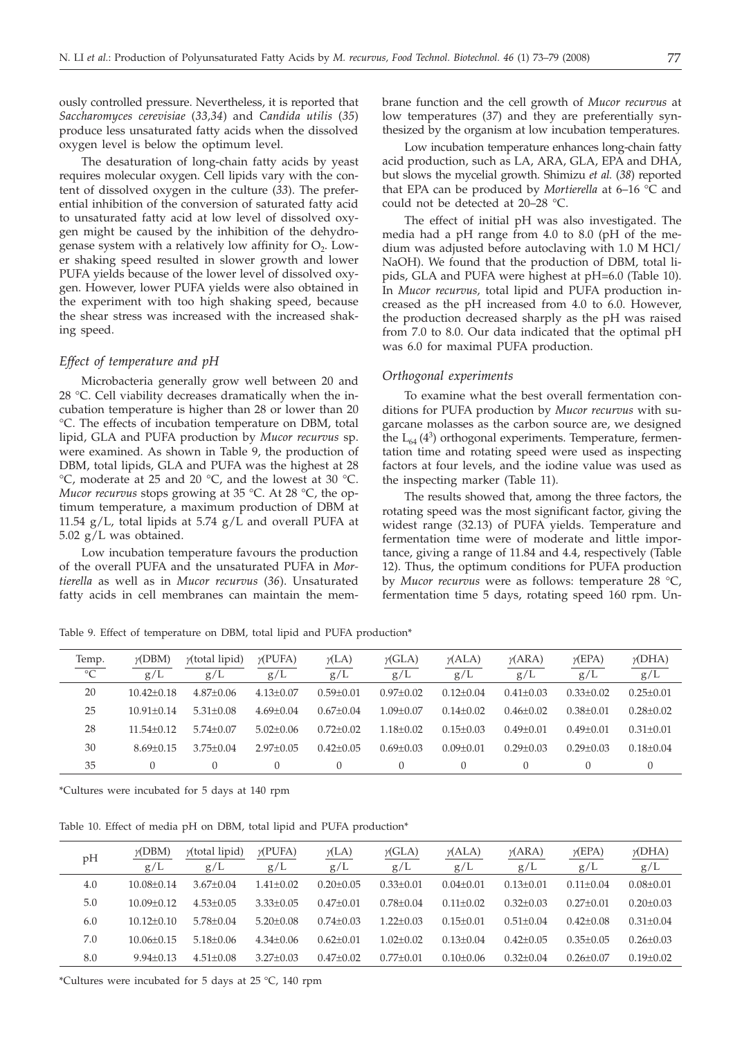ously controlled pressure. Nevertheless, it is reported that *Saccharomyces cerevisiae* (*33,34*) and *Candida utilis* (*35*) produce less unsaturated fatty acids when the dissolved oxygen level is below the optimum level.

The desaturation of long-chain fatty acids by yeast requires molecular oxygen. Cell lipids vary with the content of dissolved oxygen in the culture (*33*). The preferential inhibition of the conversion of saturated fatty acid to unsaturated fatty acid at low level of dissolved oxygen might be caused by the inhibition of the dehydrogenase system with a relatively low affinity for  $O<sub>2</sub>$ . Lower shaking speed resulted in slower growth and lower PUFA yields because of the lower level of dissolved oxygen. However, lower PUFA yields were also obtained in the experiment with too high shaking speed, because the shear stress was increased with the increased shaking speed.

## *Effect of temperature and pH*

Microbacteria generally grow well between 20 and 28 °C. Cell viability decreases dramatically when the incubation temperature is higher than 28 or lower than 20 °C. The effects of incubation temperature on DBM, total lipid, GLA and PUFA production by *Mucor recurvus* sp. were examined. As shown in Table 9, the production of DBM, total lipids, GLA and PUFA was the highest at 28 °C, moderate at 25 and 20 °C, and the lowest at 30 °C. *Mucor recurvus* stops growing at 35 °C. At 28 °C, the optimum temperature, a maximum production of DBM at 11.54  $g/L$ , total lipids at 5.74  $g/L$  and overall PUFA at 5.02 g/L was obtained.

Low incubation temperature favours the production of the overall PUFA and the unsaturated PUFA in *Mortierella* as well as in *Mucor recurvus* (*36*). Unsaturated fatty acids in cell membranes can maintain the mem-

brane function and the cell growth of *Mucor recurvus* at low temperatures (*37*) and they are preferentially synthesized by the organism at low incubation temperatures.

Low incubation temperature enhances long-chain fatty acid production, such as LA, ARA, GLA, EPA and DHA, but slows the mycelial growth. Shimizu *et al.* (*38*) reported that EPA can be produced by *Mortierella* at 6–16 °C and could not be detected at 20–28 °C.

The effect of initial pH was also investigated. The media had a pH range from 4.0 to 8.0 (pH of the medium was adjusted before autoclaving with 1.0 M HCl/ NaOH). We found that the production of DBM, total lipids, GLA and PUFA were highest at pH=6.0 (Table 10). In *Mucor recurvus,* total lipid and PUFA production increased as the pH increased from 4.0 to 6.0. However, the production decreased sharply as the pH was raised from 7.0 to 8.0. Our data indicated that the optimal pH was 6.0 for maximal PUFA production.

## *Orthogonal experiments*

To examine what the best overall fermentation conditions for PUFA production by *Mucor recurvus* with sugarcane molasses as the carbon source are, we designed the  $L_{64}(4^3)$  orthogonal experiments. Temperature, fermentation time and rotating speed were used as inspecting factors at four levels, and the iodine value was used as the inspecting marker (Table 11).

The results showed that, among the three factors, the rotating speed was the most significant factor, giving the widest range (32.13) of PUFA yields. Temperature and fermentation time were of moderate and little importance, giving a range of 11.84 and 4.4, respectively (Table 12). Thus, the optimum conditions for PUFA production by *Mucor recurvus* were as follows: temperature 28 °C, fermentation time 5 days, rotating speed 160 rpm. Un-

Table 9. Effect of temperature on DBM, total lipid and PUFA production\*

| Temp.<br>$\overline{C}$ | $\gamma$ (DBM)<br>g/L | $y$ (total lipid)<br>g/L | $\gamma$ (PUFA)<br>g/L | $\gamma$ (LA)<br>g/L | $\gamma$ (GLA)<br>g/L | $\gamma$ (ALA)<br>g/L | $\gamma$ (ARA)<br>g/L | $\gamma$ (EPA)<br>g/L | $\gamma$ (DHA)<br>g/L |
|-------------------------|-----------------------|--------------------------|------------------------|----------------------|-----------------------|-----------------------|-----------------------|-----------------------|-----------------------|
| 20                      | $10.42 + 0.18$        | $4.87+0.06$              | $4.13 + 0.07$          | $0.59 + 0.01$        | $0.97+0.02$           | $0.12 + 0.04$         | $0.41 + 0.03$         | $0.33+0.02$           | $0.25 + 0.01$         |
| 25                      | $10.91 + 0.14$        | $5.31 + 0.08$            | $4.69 + 0.04$          | $0.67+0.04$          | $1.09 + 0.07$         | $0.14 + 0.02$         | $0.46 + 0.02$         | $0.38 + 0.01$         | $0.28 \pm 0.02$       |
| 28                      | $11.54 + 0.12$        | $5.74 + 0.07$            | $5.02+0.06$            | $0.72 + 0.02$        | $1.18 + 0.02$         | $0.15 \pm 0.03$       | $0.49 + 0.01$         | $0.49 + 0.01$         | $0.31 + 0.01$         |
| 30                      | $8.69 + 0.15$         | $3.75 + 0.04$            | $2.97+0.05$            | $0.42 + 0.05$        | $0.69 + 0.03$         | $0.09 + 0.01$         | $0.29 + 0.03$         | $0.29 + 0.03$         | $0.18 + 0.04$         |
| 35                      | $\Omega$              |                          | $\theta$               | $\overline{0}$       | 0                     |                       |                       |                       |                       |

\*Cultures were incubated for 5 days at 140 rpm

Table 10. Effect of media pH on DBM, total lipid and PUFA production\*

| pH  | $\gamma$ (DBM)<br>g/L | $y$ (total lipid)<br>g/L | $\gamma$ (PUFA)<br>g/L | $\gamma$ (LA)<br>g/L | $\gamma$ (GLA)<br>g/L | $\gamma$ (ALA)<br>g/L | $\gamma$ (ARA)<br>g/L | $\gamma$ (EPA)<br>g/L | $\gamma$ (DHA)<br>g/L |
|-----|-----------------------|--------------------------|------------------------|----------------------|-----------------------|-----------------------|-----------------------|-----------------------|-----------------------|
| 4.0 | $10.08 + 0.14$        | $3.67+0.04$              | $1.41 + 0.02$          | $0.20 + 0.05$        | $0.33 + 0.01$         | $0.04 + 0.01$         | $0.13 + 0.01$         | $0.11 + 0.04$         | $0.08 + 0.01$         |
| 5.0 | $10.09 + 0.12$        | $4.53 + 0.05$            | $3.33+0.05$            | $0.47 + 0.01$        | $0.78 + 0.04$         | $0.11 + 0.02$         | $0.32 + 0.03$         | $0.27 + 0.01$         | $0.20 + 0.03$         |
| 6.0 | $10.12 + 0.10$        | $5.78 + 0.04$            | $5.20+0.08$            | $0.74 + 0.03$        | $1.22 + 0.03$         | $0.15 + 0.01$         | $0.51 + 0.04$         | $0.42 + 0.08$         | $0.31 + 0.04$         |
| 7.0 | $10.06 + 0.15$        | $5.18 + 0.06$            | $4.34 + 0.06$          | $0.62 + 0.01$        | $1.02 + 0.02$         | $0.13 + 0.04$         | $0.42 + 0.05$         | $0.35 + 0.05$         | $0.26 + 0.03$         |
| 8.0 | $9.94 \pm 0.13$       | $4.51 + 0.08$            | $3.27 \pm 0.03$        | $0.47 \pm 0.02$      | $0.77 \pm 0.01$       | $0.10 \pm 0.06$       | $0.32 \pm 0.04$       | $0.26 \pm 0.07$       | $0.19 \pm 0.02$       |

\*Cultures were incubated for 5 days at 25 °C, 140 rpm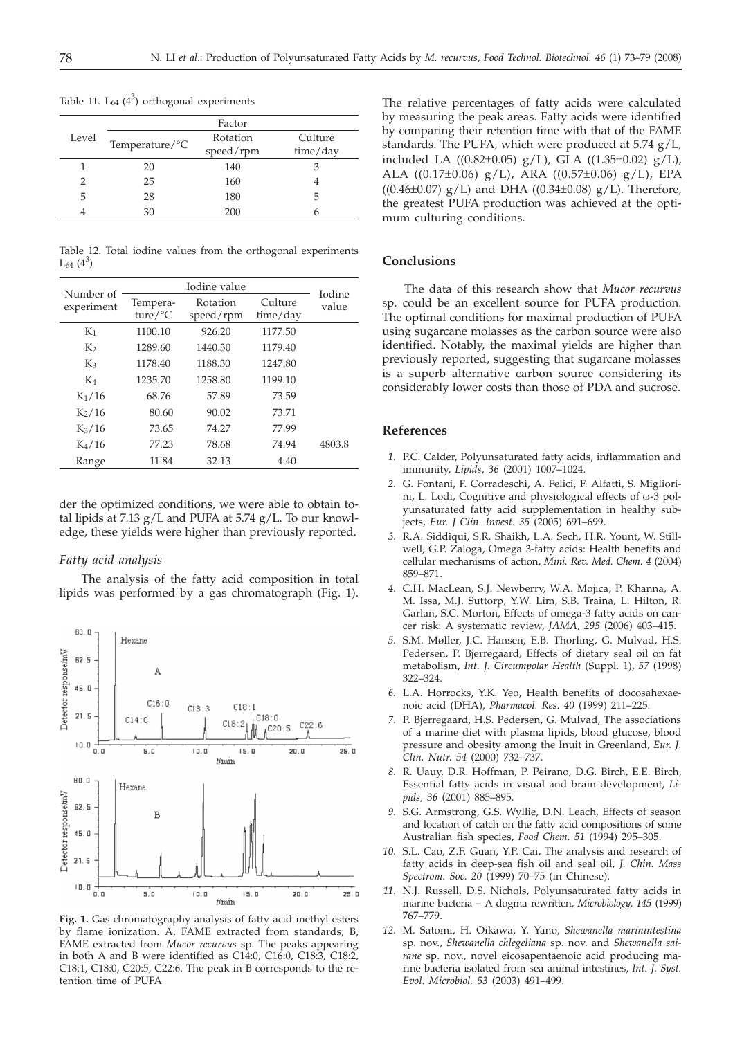|       |                            | Factor                |                     |
|-------|----------------------------|-----------------------|---------------------|
| Level | Temperature/ ${}^{\circ}C$ | Rotation<br>speed/rpm | Culture<br>time/day |
|       | 20                         | 140                   | З                   |
|       | 25                         | 160                   |                     |
| 5     | 28                         | 180                   | 5                   |
|       | 30                         | 200                   |                     |

Table 11.  $L_{64}$  ( $4^3$ ) orthogonal experiments

Table 12. Total iodine values from the orthogonal experiments  $L_{64}$   $(4^3)$ 

| Number of          |                                 | Iodine value          |                     | Iodine |
|--------------------|---------------------------------|-----------------------|---------------------|--------|
| experiment         | Tempera-<br>ture/ ${}^{\circ}C$ | Rotation<br>speed/rpm | Culture<br>time/day | value  |
| $K_1$              | 1100.10                         | 926.20                | 1177.50             |        |
| K <sub>2</sub>     | 1289.60                         | 1440.30               | 1179.40             |        |
| $K_3$              | 1178.40                         | 1188.30               | 1247.80             |        |
| K4                 | 1235.70                         | 1258.80               | 1199.10             |        |
| $K_1/16$           | 68.76                           | 57.89                 | 73.59               |        |
| $K_2/16$           | 80.60                           | 90.02                 | 73.71               |        |
| $K_3/16$           | 73.65                           | 74.27                 | 77.99               |        |
| K <sub>4</sub> /16 | 77.23                           | 78.68                 | 74.94               | 4803.8 |
| Range              | 11.84                           | 32.13                 | 4.40                |        |

der the optimized conditions, we were able to obtain total lipids at  $7.13$  g/L and PUFA at  $5.74$  g/L. To our knowledge, these yields were higher than previously reported.

## *Fatty acid analysis*

The analysis of the fatty acid composition in total lipids was performed by a gas chromatograph (Fig. 1).



**Fig. 1.** Gas chromatography analysis of fatty acid methyl esters by flame ionization. A, FAME extracted from standards; B, FAME extracted from *Mucor recurvus* sp. The peaks appearing in both A and B were identified as C14:0, C16:0, C18:3, C18:2, C18:1, C18:0, C20:5, C22:6. The peak in B corresponds to the retention time of PUFA

The relative percentages of fatty acids were calculated by measuring the peak areas. Fatty acids were identified by comparing their retention time with that of the FAME standards. The PUFA, which were produced at 5.74 g/L, included LA ((0.82±0.05) g/L), GLA ((1.35±0.02) g/L), ALA ((0.17±0.06) g/L), ARA ((0.57±0.06) g/L), EPA ((0.46±0.07)  $g/L$ ) and DHA ((0.34±0.08)  $g/L$ ). Therefore, the greatest PUFA production was achieved at the optimum culturing conditions.

# **Conclusions**

The data of this research show that *Mucor recurvus* sp. could be an excellent source for PUFA production. The optimal conditions for maximal production of PUFA using sugarcane molasses as the carbon source were also identified. Notably, the maximal yields are higher than previously reported, suggesting that sugarcane molasses is a superb alternative carbon source considering its considerably lower costs than those of PDA and sucrose.

#### **References References**

- *1.* P.C. Calder, Polyunsaturated fatty acids, inflammation and immunity, *Lipids*, *36* (2001) 1007–1024.
- *2.* G. Fontani, F. Corradeschi, A. Felici, F. Alfatti, S. Migliorini, L. Lodi, Cognitive and physiological effects of  $\omega$ -3 polyunsaturated fatty acid supplementation in healthy subjects, *Eur. J Clin. Invest. 35* (2005) 691–699.
- *3.* R.A. Siddiqui, S.R. Shaikh, L.A. Sech, H.R. Yount, W. Stillwell, G.P. Zaloga, Omega 3-fatty acids: Health benefits and cellular mechanisms of action, *Mini. Rev. Med. Chem. 4* (2004) 859–871.
- *4.* C.H. MacLean, S.J. Newberry, W.A. Mojica, P. Khanna, A. M. Issa, M.J. Suttorp, Y.W. Lim, S.B. Traina, L. Hilton, R. Garlan, S.C. Morton, Effects of omega-3 fatty acids on cancer risk: A systematic review, *JAMA, 295* (2006) 403–415.
- *5.* S.M. Møller, J.C. Hansen, E.B. Thorling, G. Mulvad, H.S. Pedersen, P. Bjerregaard, Effects of dietary seal oil on fat metabolism, *Int. J. Circumpolar Health* (Suppl. 1), *57* (1998) 322–324.
- *6.* L.A. Horrocks, Y.K. Yeo, Health benefits of docosahexaenoic acid (DHA), *Pharmacol. Res. 40* (1999) 211–225.
- *7.* P. Bjerregaard, H.S. Pedersen, G. Mulvad, The associations of a marine diet with plasma lipids, blood glucose, blood pressure and obesity among the Inuit in Greenland, *Eur. J. Clin. Nutr. 54* (2000) 732–737.
- *8.* R. Uauy, D.R. Hoffman, P. Peirano, D.G. Birch, E.E. Birch, Essential fatty acids in visual and brain development, *Lipids, 36* (2001) 885–895.
- *9.* S.G. Armstrong, G.S. Wyllie, D.N. Leach, Effects of season and location of catch on the fatty acid compositions of some Australian fish species, *Food Chem. 51* (1994) 295–305.
- *10.* S.L. Cao, Z.F. Guan, Y.P. Cai, The analysis and research of fatty acids in deep-sea fish oil and seal oil, *J. Chin. Mass Spectrom. Soc. 20* (1999) 70–75 (in Chinese).
- *11.* N.J. Russell, D.S. Nichols, Polyunsaturated fatty acids in marine bacteria – A dogma rewritten, *Microbiology, 145* (1999) 767–779.
- *12.* M. Satomi, H. Oikawa, Y. Yano, *Shewanella marinintestina* sp. nov., *Shewanella chlegeliana* sp. nov. and *Shewanella sairane* sp. nov., novel eicosapentaenoic acid producing marine bacteria isolated from sea animal intestines, *Int. J. Syst. Evol. Microbiol. 53* (2003) 491–499.